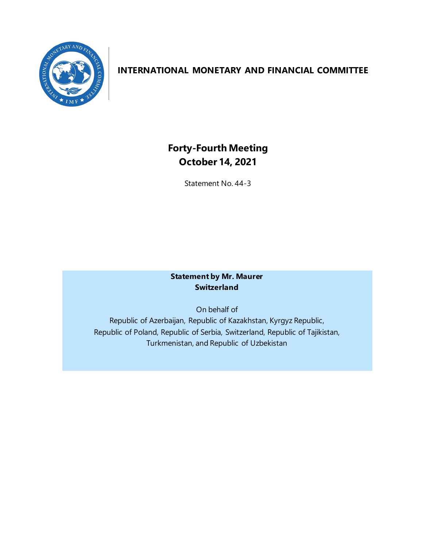

# **INTERNATIONAL MONETARY AND FINANCIAL COMMITTEE**

# **Forty-Fourth Meeting October 14, 2021**

Statement No. 44-3

## **Statement by Mr. Maurer Switzerland**

On behalf of Republic of Azerbaijan, Republic of Kazakhstan, Kyrgyz Republic, Republic of Poland, Republic of Serbia, Switzerland, Republic of Tajikistan, Turkmenistan, and Republic of Uzbekistan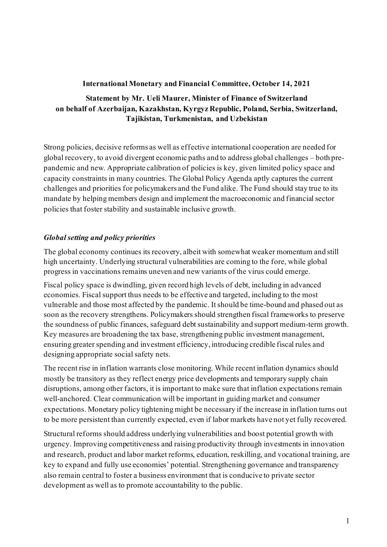## **International Monetary and Financial Committee, October 14, 2021**

# **Statement by Mr. Ueli Maurer, Minister of Finance of Switzerland on behalf of Azerbaijan, Kazakhstan, Kyrgyz Republic, Poland, Serbia, Switzerland, Tajikistan, Turkmenistan, and Uzbekistan**

Strong policies, decisive reforms as well as effective international cooperation are needed for global recovery, to avoid divergent economic paths and to address global challenges – both prepandemic and new. Appropriate calibration of policies is key, given limited policy space and capacity constraints in many countries. The Global Policy Agenda aptly captures the current challenges and priorities for policymakers and the Fund alike. The Fund should stay true to its mandate by helping members design and implement the macroeconomic and financial sector policies that foster stability and sustainable inclusive growth.

# *Global setting and policy priorities*

The global economy continues its recovery, albeit with somewhat weaker momentum and still high uncertainty. Underlying structural vulnerabilities are coming to the fore, while global progress in vaccinations remains uneven and new variants of the virus could emerge.

Fiscal policy space is dwindling, given record high levels of debt, including in advanced economies. Fiscal support thus needs to be effective and targeted, including to the most vulnerable and those most affected by the pandemic. It should be time-bound and phased out as soon as the recovery strengthens. Policymakers should strengthen fiscal frameworks to preserve the soundness of public finances, safeguard debt sustainability and support medium-term growth. Key measures are broadening the tax base, strengthening public investment management, ensuring greater spending and investment efficiency, introducing credible fiscal rules and designing appropriate social safety nets.

The recent rise in inflation warrants close monitoring. While recent inflation dynamics should mostly be transitory as they reflect energy price developments and temporary supply chain disruptions, among other factors, it is important to make sure that inflation expectations remain well-anchored. Clear communication will be important in guiding market and consumer expectations. Monetary policy tightening might be necessary if the increase in inflation turns out to be more persistent than currently expected, even if labor markets have not yet fully recovered.

Structural reforms should address underlying vulnerabilities and boost potential growth with urgency. Improving competitiveness and raising productivity through investments in innovation and research, product and labor market reforms, education, reskilling, and vocational training, are key to expand and fully use economies' potential. Strengthening governance and transparency also remain central to foster a business environment that is conducive to private sector development as well as to promote accountability to the public.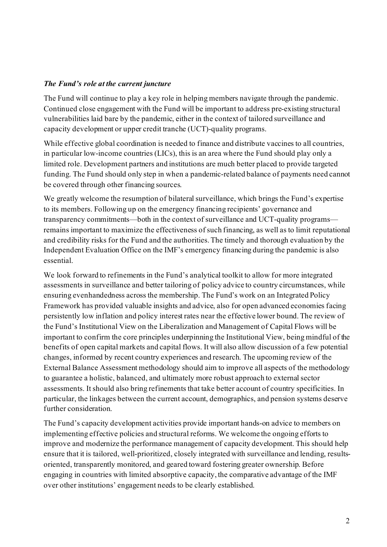#### *The Fund's role at the current juncture*

The Fund will continue to play a key role in helping members navigate through the pandemic. Continued close engagement with the Fund will be important to address pre-existing structural vulnerabilities laid bare by the pandemic, either in the context of tailored surveillance and capacity development or upper credit tranche (UCT)-quality programs.

While effective global coordination is needed to finance and distribute vaccines to all countries, in particular low-income countries (LICs), this is an area where the Fund should play only a limited role. Development partners and institutions are much better placed to provide targeted funding. The Fund should only step in when a pandemic-related balance of payments need cannot be covered through other financing sources.

We greatly welcome the resumption of bilateral surveillance, which brings the Fund's expertise to its members. Following up on the emergency financing recipients' governance and transparency commitments—both in the context of surveillance and UCT-quality programs remains important to maximize the effectiveness of such financing, as well as to limit reputational and credibility risks for the Fund and the authorities.The timely and thorough evaluation by the Independent Evaluation Office on the IMF's emergency financing during the pandemic is also essential.

We look forward to refinements in the Fund's analytical toolkit to allow for more integrated assessments in surveillance and better tailoring of policy advice to country circumstances, while ensuring evenhandedness across the membership. The Fund's work on an Integrated Policy Framework has provided valuable insights and advice, also for open advanced economies facing persistently low inflation and policy interest rates near the effective lower bound. The review of the Fund's Institutional View on the Liberalization and Management of Capital Flows will be important to confirm the core principles underpinning the Institutional View, being mindful of the benefits of open capital markets and capital flows. It will also allow discussion of a few potential changes, informed by recent country experiences and research. The upcoming review of the External Balance Assessment methodology should aim to improve all aspects of the methodology to guarantee a holistic, balanced, and ultimately more robust approach to external sector assessments. Itshould also bring refinements that take better account of country specificities. In particular, the linkages between the current account, demographics, and pension systems deserve further consideration.

The Fund's capacity development activities provide important hands-on advice to members on implementing effective policies and structural reforms. We welcome the ongoing efforts to improve and modernize the performance management of capacity development. This should help ensure that it is tailored, well-prioritized, closely integrated with surveillance and lending, resultsoriented, transparently monitored, and geared toward fostering greater ownership. Before engaging in countries with limited absorptive capacity, the comparative advantage of the IMF over other institutions' engagement needs to be clearly established.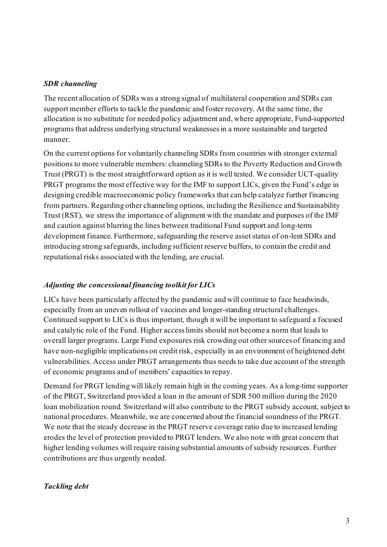#### *SDR channeling*

The recent allocation of SDRs was a strong signal of multilateral cooperation and SDRs can support member efforts to tackle the pandemic and foster recovery. At the same time, the allocation is no substitute for needed policy adjustment and, where appropriate, Fund-supported programs that address underlying structural weaknessesin a more sustainable and targeted manner.

On the current options for voluntarily channeling SDRs from countries with stronger external positions to more vulnerable members: channeling SDRs to the Poverty Reduction and Growth Trust (PRGT) is the most straightforward option as it is well tested. We consider UCT-quality PRGT programs the most effective way for the IMF to support LICs, given the Fund's edge in designing credible macroeconomic policy frameworks that can help catalyze further financing from partners. Regarding other channeling options, including the Resilience and Sustainability Trust (RST), we stress the importance of alignment with the mandate and purposes of the IMF and caution against blurring the lines between traditional Fund support and long-term development finance. Furthermore, safeguarding the reserve asset status of on-lent SDRs and introducing strong safeguards, including sufficient reserve buffers, to contain the credit and reputational risks associated with the lending, are crucial.

#### *Adjusting the concessional financing toolkit for LICs*

LICs have been particularly affected by the pandemic and will continue to face headwinds, especially from an uneven rollout of vaccines and longer-standing structural challenges. Continued support to LICs is thus important, though it will be important to safeguard a focused and catalytic role of the Fund. Higher access limits should not become a norm that leads to overall larger programs. Large Fund exposures risk crowding out other sources of financing and have non-negligible implications on credit risk, especially in an environment of heightened debt vulnerabilities. Access under PRGT arrangements thus needs to take due account of the strength of economic programs and of members' capacities to repay.

Demand for PRGT lending will likely remain high in the coming years. As a long-time supporter of the PRGT, Switzerland provided a loan in the amount of SDR 500 million during the 2020 loan mobilization round. Switzerland will also contribute to the PRGT subsidy account, subject to national procedures. Meanwhile, we are concerned about the financial soundness of the PRGT. We note that the steady decrease in the PRGT reserve coverage ratio due to increased lending erodes the level of protection provided to PRGT lenders. We also note with great concern that higher lending volumes will require raising substantial amounts of subsidy resources. Further contributions are thus urgently needed.

#### *Tackling debt*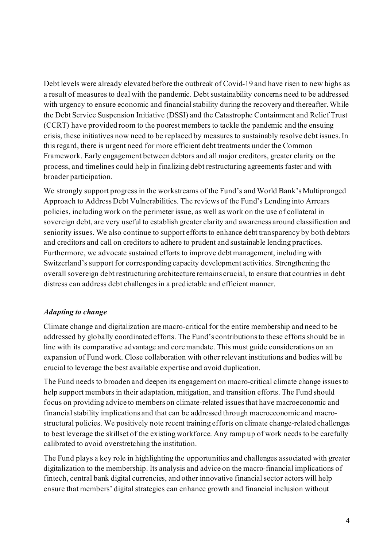Debt levels were already elevated before the outbreak of Covid-19 and have risen to new highs as a result of measures to deal with the pandemic. Debt sustainability concerns need to be addressed with urgency to ensure economic and financial stability during the recovery and thereafter. While the Debt Service Suspension Initiative (DSSI) and the Catastrophe Containment and Relief Trust (CCRT) have provided room to the poorest members to tackle the pandemic and the ensuing crisis, these initiatives now need to be replaced by measures to sustainably resolve debt issues. In this regard, there is urgent need for more efficient debt treatments under the Common Framework. Early engagement between debtors and all major creditors, greater clarity on the process, and timelines could help in finalizing debt restructuring agreements faster and with broader participation.

We strongly support progress in the workstreams of the Fund's and World Bank's Multipronged Approach to Address Debt Vulnerabilities. The reviews of the Fund's Lending into Arrears policies, including work on the perimeter issue, as well as work on the use of collateral in sovereign debt, are very useful to establish greater clarity and awareness around classification and seniority issues. We also continue to support efforts to enhance debt transparency by both debtors and creditors and call on creditors to adhere to prudent and sustainable lending practices. Furthermore, we advocate sustained efforts to improve debt management, including with Switzerland's support for corresponding capacity development activities. Strengthening the overall sovereign debt restructuring architecture remains crucial, to ensure that countries in debt distress can address debt challenges in a predictable and efficient manner.

# *Adapting to change*

Climate change and digitalization are macro-critical for the entire membership and need to be addressed by globally coordinated efforts. The Fund's contributions to these efforts should be in line with its comparative advantage and core mandate. This must guide considerations on an expansion of Fund work. Close collaboration with other relevant institutions and bodies will be crucial to leverage the best available expertise and avoid duplication.

The Fund needs to broaden and deepen its engagement on macro-critical climate change issues to help support members in their adaptation, mitigation, and transition efforts. The Fund should focus on providing advice to members on climate-related issues that have macroeconomic and financial stability implications and that can be addressed through macroeconomic and macrostructural policies. We positively note recent training efforts on climate change-related challenges to best leverage the skillset of the existing workforce. Any ramp up of work needs to be carefully calibrated to avoid overstretching the institution.

The Fund plays a key role in highlighting the opportunities and challenges associated with greater digitalization to the membership. Its analysis and advice on the macro-financial implications of fintech, central bank digital currencies, and other innovative financial sector actorswill help ensure that members' digital strategies can enhance growth and financial inclusion without